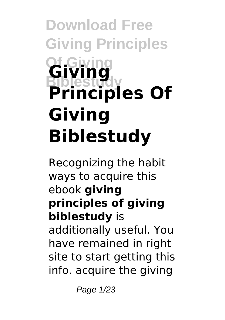# **Download Free Giving Principles Of Giving Biblestudy Giving Principles Of Giving Biblestudy**

Recognizing the habit ways to acquire this ebook **giving principles of giving biblestudy** is additionally useful. You have remained in right site to start getting this info. acquire the giving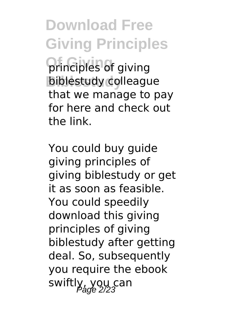**Download Free Giving Principles Of Giving** principles of giving **Biblestudy** biblestudy colleague that we manage to pay for here and check out the link.

You could buy guide giving principles of giving biblestudy or get it as soon as feasible. You could speedily download this giving principles of giving biblestudy after getting deal. So, subsequently you require the ebook swiftly, you can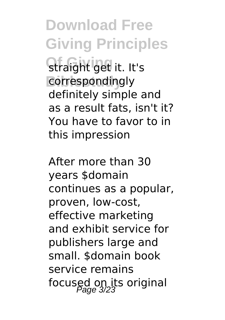**Download Free Giving Principles Of Giving** straight get it. It's correspondingly definitely simple and as a result fats, isn't it? You have to favor to in this impression

After more than 30 years \$domain continues as a popular, proven, low-cost, effective marketing and exhibit service for publishers large and small. \$domain book service remains focused on its original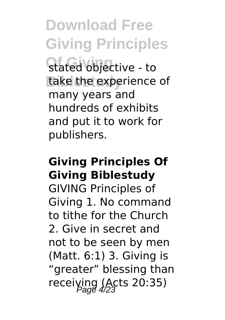**Download Free Giving Principles Of Giving** stated objective - to take the experience of many years and hundreds of exhibits and put it to work for publishers.

# **Giving Principles Of Giving Biblestudy**

GIVING Principles of Giving 1. No command to tithe for the Church 2. Give in secret and not to be seen by men (Matt. 6:1) 3. Giving is "greater" blessing than receiving (Acts 20:35)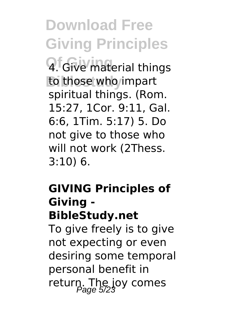**Download Free Giving Principles**

**Q.** Give material things to those who impart spiritual things. (Rom. 15:27, 1Cor. 9:11, Gal. 6:6, 1Tim. 5:17) 5. Do not give to those who will not work (2Thess. 3:10) 6.

## **GIVING Principles of Giving - BibleStudy.net**

To give freely is to give not expecting or even desiring some temporal personal benefit in return. The joy comes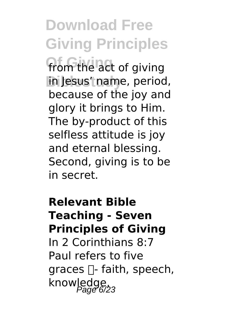**Download Free Giving Principles** from the act of giving **Biblestudy** in Jesus' name, period, because of the joy and glory it brings to Him. The by-product of this selfless attitude is joy and eternal blessing. Second, giving is to be

in secret.

**Relevant Bible Teaching - Seven Principles of Giving** In 2 Corinthians 8:7 Paul refers to five graces  $\Box$ - faith, speech, knowledge,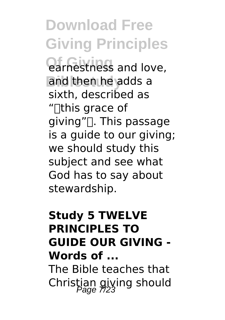**Download Free Giving Principles**

**Of Giving** earnestness and love, and then he adds a sixth, described as "[this grace of  $q$ iving" $\Box$ . This passage is a guide to our giving; we should study this subject and see what God has to say about stewardship.

### **Study 5 TWELVE PRINCIPLES TO GUIDE OUR GIVING - Words of ...**

The Bible teaches that Christian giving should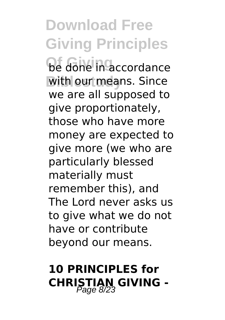**Download Free Giving Principles Of Giving** be done in accordance with our means. Since we are all supposed to give proportionately, those who have more money are expected to give more (we who are particularly blessed materially must remember this), and The Lord never asks us to give what we do not have or contribute beyond our means.

# **10 PRINCIPLES for CHRISTIAN GIVING -**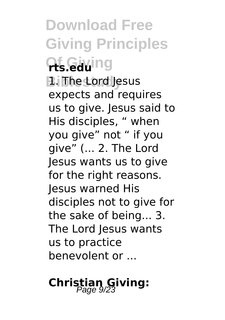**Download Free Giving Principles Of Giving rts.edu Biblestudy** 1. The Lord Jesus expects and requires us to give. Jesus said to His disciples, " when you give" not " if you give" (... 2. The Lord Jesus wants us to give for the right reasons. Jesus warned His disciples not to give for the sake of being... 3. The Lord Jesus wants us to practice benevolent or ...

# **Christian Giving:**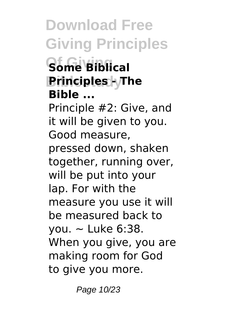**Download Free Giving Principles Of Giving Some Biblical Principles - The Bible ...** Principle #2: Give, and it will be given to you. Good measure, pressed down, shaken together, running over, will be put into your lap. For with the measure you use it will be measured back to you.  $\sim$  Luke 6:38. When you give, you are making room for God to give you more.

Page 10/23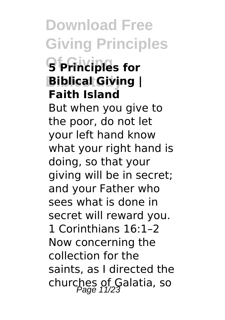**Download Free Giving Principles Of Giving 5 Principles for Biblical Giving | Faith Island** But when you give to the poor, do not let your left hand know what your right hand is doing, so that your giving will be in secret; and your Father who sees what is done in secret will reward you. 1 Corinthians 16:1–2 Now concerning the collection for the saints, as I directed the churches of Galatia, so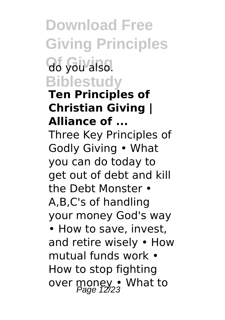**Download Free Giving Principles Of Giving** do you also. **Biblestudy**

#### **Ten Principles of Christian Giving | Alliance of ...**

Three Key Principles of Godly Giving • What you can do today to get out of debt and kill the Debt Monster • A,B,C's of handling your money God's way

• How to save, invest, and retire wisely • How mutual funds work • How to stop fighting over money • What to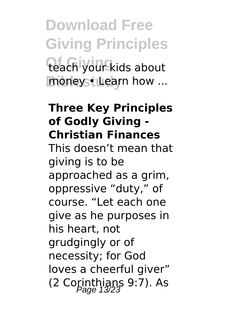**Download Free Giving Principles** teach your kids about moneys<sup>+</sup> Learn how ...

#### **Three Key Principles of Godly Giving - Christian Finances**

This doesn't mean that giving is to be approached as a grim, oppressive "duty," of course. "Let each one give as he purposes in his heart, not grudgingly or of necessity; for God loves a cheerful giver" (2 Corinthians 9:7). As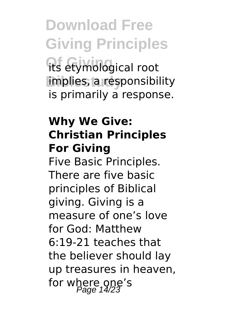**Download Free Giving Principles** its etymological root implies, a responsibility is primarily a response.

# **Why We Give: Christian Principles For Giving**

Five Basic Principles. There are five basic principles of Biblical giving. Giving is a measure of one's love for God: Matthew 6:19-21 teaches that the believer should lay up treasures in heaven, for where one's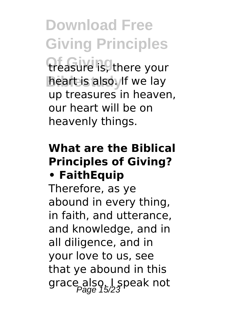**Download Free Giving Principles** treasure is, there your **heart is also.** If we lay up treasures in heaven, our heart will be on heavenly things.

### **What are the Biblical Principles of Giving? • FaithEquip**

Therefore, as ye abound in every thing, in faith, and utterance, and knowledge, and in all diligence, and in your love to us, see that ye abound in this grace also. I speak not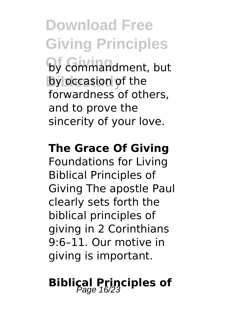**Download Free Giving Principles Of Giving** by commandment, but by occasion of the forwardness of others, and to prove the sincerity of your love.

#### **The Grace Of Giving**

Foundations for Living Biblical Principles of Giving The apostle Paul clearly sets forth the biblical principles of giving in 2 Corinthians 9:6–11. Our motive in giving is important.

# **Biblical Principles of**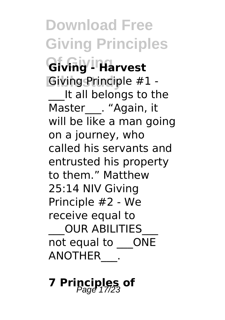**Download Free Giving Principles**  $Giv$ ing <sup>1</sup> Harvest **Giving Principle #1 -**It all belongs to the Master . "Again, it will be like a man going on a journey, who called his servants and entrusted his property to them." Matthew 25:14 NIV Giving Principle #2 - We receive equal to \_\_\_OUR ABILITIES\_\_\_ not equal to \_\_\_ONE ANOTHER\_\_\_.

**7 Principles of** Page 17/23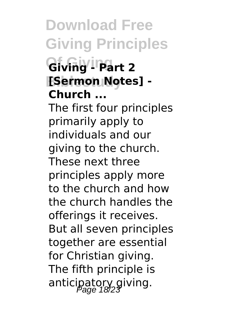**Download Free Giving Principles**  $Giv$ ing<sup>' | Part 2</sup> **Biblestudy [Sermon Notes] - Church ...**

The first four principles primarily apply to individuals and our giving to the church. These next three principles apply more to the church and how the church handles the offerings it receives. But all seven principles together are essential for Christian giving. The fifth principle is anticipatory giving.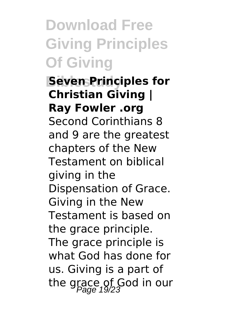**Download Free Giving Principles Of Giving**

**Seven Principles for Christian Giving | Ray Fowler .org** Second Corinthians 8 and 9 are the greatest chapters of the New Testament on biblical giving in the Dispensation of Grace. Giving in the New Testament is based on the grace principle. The grace principle is what God has done for us. Giving is a part of the grace of God in our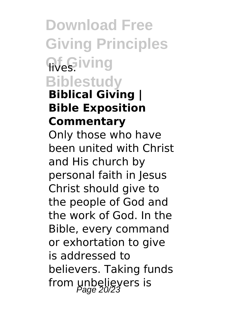**Download Free Giving Principles Wes.iving Biblestudy Biblical Giving | Bible Exposition Commentary** Only those who have been united with Christ and His church by personal faith in Jesus Christ should give to the people of God and the work of God. In the Bible, every command or exhortation to give is addressed to believers. Taking funds from unbelievers is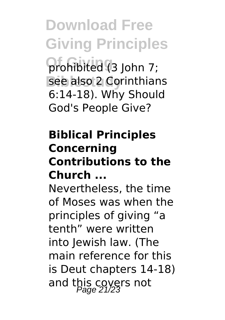**Download Free Giving Principles Of Giving** prohibited (3 John 7; see also 2 Corinthians 6:14-18). Why Should God's People Give?

# **Biblical Principles Concerning Contributions to the Church ...**

Nevertheless, the time of Moses was when the principles of giving "a tenth" were written into Jewish law. (The main reference for this is Deut chapters 14-18) and this covers not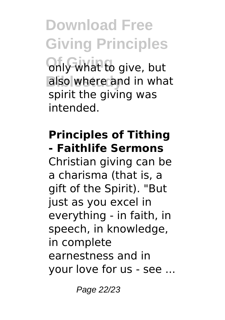**Download Free Giving Principles Only what to give, but** also where and in what spirit the giving was intended.

# **Principles of Tithing - Faithlife Sermons**

Christian giving can be a charisma (that is, a gift of the Spirit). "But just as you excel in everything - in faith, in speech, in knowledge, in complete earnestness and in your love for us - see ...